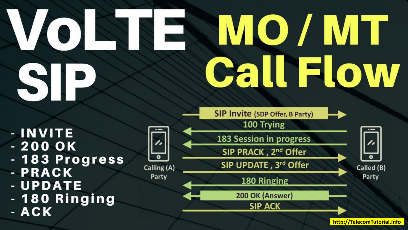-INVITE

VOII

SIP

11/1

- 200 OK
- 183 Progress
- PRACK
- UPDATE
- 180 Ringing
- ACK

# MO/MT **Call Flow**



**http://TelecomTutorial.info**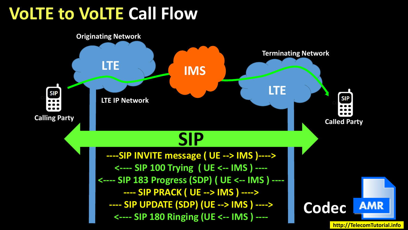## **VoLTE to VoLTE Call Flow**

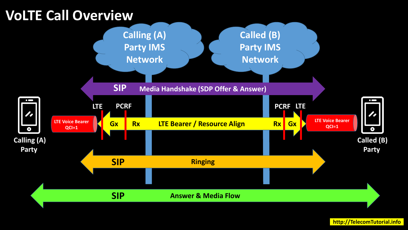## **VoLTE Call Overview**

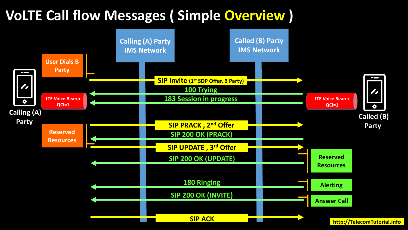## **VoLTE Call flow Messages ( Simple Overview )**

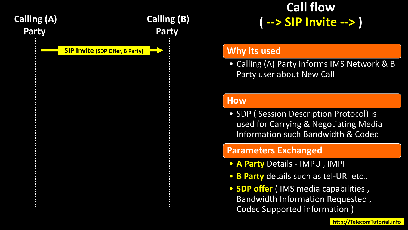

## **Call flow ( --> SIP Invite --> )**

#### **Why its used**

• Calling (A) Party informs IMS Network & B Party user about New Call

#### **How**

• SDP ( Session Description Protocol) is used for Carrying & Negotiating Media Information such Bandwidth & Codec

#### **Parameters Exchanged**

- **A Party** Details IMPU , IMPI
- **B Party** details such as tel-URI etc..
- **SDP offer** ( IMS media capabilities , Bandwidth Information Requested , Codec Supported information )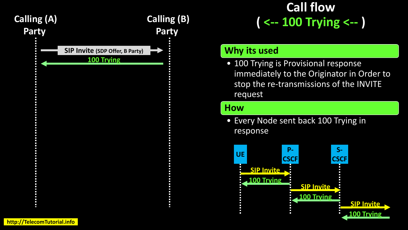

## **Call flow ( <-- 100 Trying <-- )**

• 100 Trying is Provisional response immediately to the Originator in Order to stop the re-transmissions of the INVITE request

#### **How**

• Every Node sent back 100 Trying in response

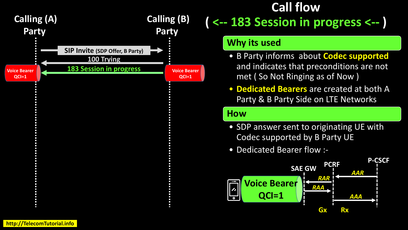

## **Call flow ( <-- 183 Session in progress <-- )**

#### **Why its used**

- B Party informs about **Codec supported**  and indicates that preconditions are not met ( So Not Ringing as of Now )
- **Dedicated Bearers** are created at both A Party & B Party Side on LTE Networks

#### **How**

- SDP answer sent to originating UE with Codec supported by B Party UE
- Dedicated Bearer flow :-

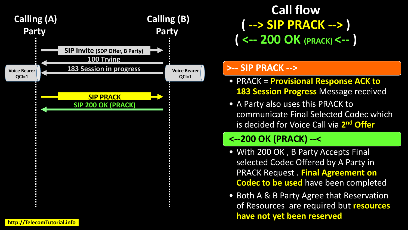

**Call flow ( --> SIP PRACK --> ) ( <-- 200 OK (PRACK) <-- )**

#### **>-- SIP PRACK -->**

- PRACK = **Provisional Response ACK to 183 Session Progress** Message received
- A Party also uses this PRACK to communicate Final Selected Codec which is decided for Voice Call via 2<sup>nd</sup> Offer

### **<--200 OK (PRACK) --<**

- With 200 OK , B Party Accepts Final selected Codec Offered by A Party in PRACK Request . **Final Agreement on Codec to be used** have been completed
- Both A & B Party Agree that Reservation of Resources are required but **resources have not yet been reserved**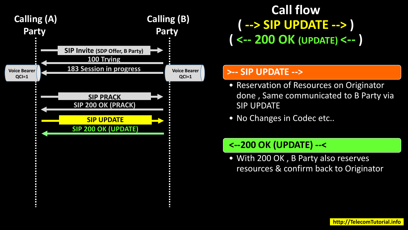

**Call flow ( --> SIP UPDATE --> ) ( <-- 200 OK (UPDATE) <-- )**

#### **>-- SIP UPDATE -->**

- Reservation of Resources on Originator done , Same communicated to B Party via SIP UPDATE
- No Changes in Codec etc..

#### **<--200 OK (UPDATE) --<**

• With 200 OK , B Party also reserves resources & confirm back to Originator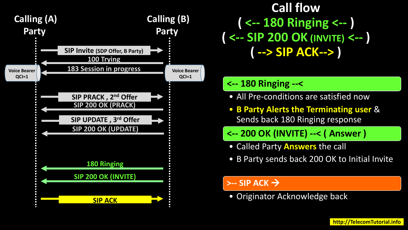

**Call flow ( <-- 180 Ringing <-- ) ( <-- SIP 200 OK (INVITE) <-- ) ( --> SIP ACK--> )**

#### **<-- 180 Ringing --<**

- All Pre-conditions are satisfied now
- **B Party Alerts the Terminating user** & Sends back 180 Ringing response
- **<-- 200 OK (INVITE) --< ( Answer )**
- Called Party **Answers** the call
- B Party sends back 200 OK to Initial Invite

#### **>-- SIP ACK**

• Originator Acknowledge back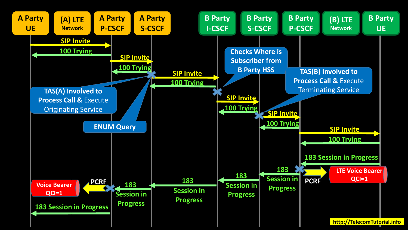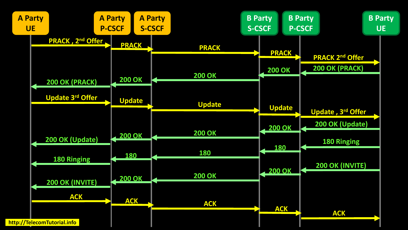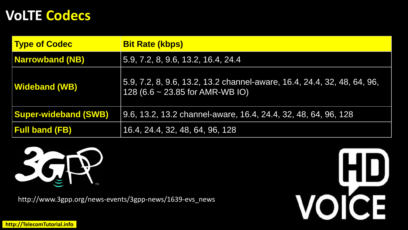## **VoLTE Codecs**

| <b>Type of Codec</b>        | <b>Bit Rate (kbps)</b>                                                                                           |
|-----------------------------|------------------------------------------------------------------------------------------------------------------|
| <b>Narrowband (NB)</b>      | $\vert$ 5.9, 7.2, 8, 9.6, 13.2, 16.4, 24.4                                                                       |
| <b>Wideband (WB)</b>        | 5.9, 7.2, 8, 9.6, 13.2, 13.2 channel-aware, 16.4, 24.4, 32, 48, 64, 96,<br>$(128 (6.6 \sim 23.85$ for AMR-WB IO) |
| <b>Super-wideband (SWB)</b> | 9.6, 13.2, 13.2 channel-aware, 16.4, 24.4, 32, 48, 64, 96, 128                                                   |
| <b>Full band (FB)</b>       | 16.4, 24.4, 32, 48, 64, 96, 128                                                                                  |



http://www.3gpp.org/news-events/3gpp-news/1639-evs\_news



**http://TelecomTutorial.info**